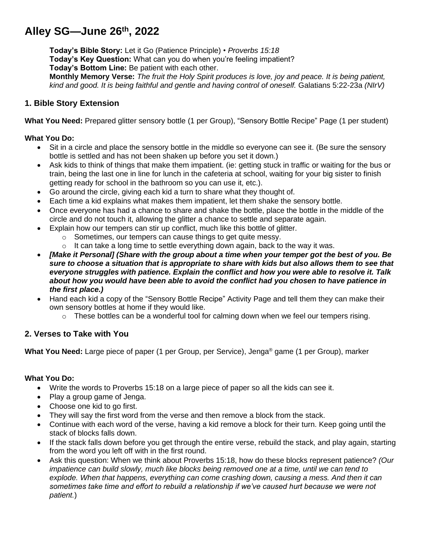# **Alley SG—June 26th , 2022**

**Today's Bible Story:** Let it Go (Patience Principle) • *Proverbs 15:18* **Today's Key Question:** What can you do when you're feeling impatient? **Today's Bottom Line:** Be patient with each other. **Monthly Memory Verse:** *The fruit the Holy Spirit produces is love, joy and peace. It is being patient, kind and good. It is being faithful and gentle and having control of oneself.* Galatians 5:22-23a *(NIrV)*

## **1. Bible Story Extension**

**What You Need:** Prepared glitter sensory bottle (1 per Group), "Sensory Bottle Recipe" Page (1 per student)

#### **What You Do:**

- Sit in a circle and place the sensory bottle in the middle so everyone can see it. (Be sure the sensory bottle is settled and has not been shaken up before you set it down.)
- Ask kids to think of things that make them impatient. (ie: getting stuck in traffic or waiting for the bus or train, being the last one in line for lunch in the cafeteria at school, waiting for your big sister to finish getting ready for school in the bathroom so you can use it, etc.).
- Go around the circle, giving each kid a turn to share what they thought of.
- Each time a kid explains what makes them impatient, let them shake the sensory bottle.
- Once everyone has had a chance to share and shake the bottle, place the bottle in the middle of the circle and do not touch it, allowing the glitter a chance to settle and separate again.
- Explain how our tempers can stir up conflict, much like this bottle of glitter.
	- o Sometimes, our tempers can cause things to get quite messy.
	- $\circ$  It can take a long time to settle everything down again, back to the way it was.
- *[Make it Personal] (Share with the group about a time when your temper got the best of you. Be sure to choose a situation that is appropriate to share with kids but also allows them to see that everyone struggles with patience. Explain the conflict and how you were able to resolve it. Talk about how you would have been able to avoid the conflict had you chosen to have patience in the first place.)*
- Hand each kid a copy of the "Sensory Bottle Recipe" Activity Page and tell them they can make their own sensory bottles at home if they would like.
	- $\circ$  These bottles can be a wonderful tool for calming down when we feel our tempers rising.

## **2. Verses to Take with You**

**What You Need:** Large piece of paper (1 per Group, per Service), Jenga® game (1 per Group), marker

#### **What You Do:**

- Write the words to Proverbs 15:18 on a large piece of paper so all the kids can see it.
- Play a group game of Jenga.
- Choose one kid to go first.
- They will say the first word from the verse and then remove a block from the stack.
- Continue with each word of the verse, having a kid remove a block for their turn. Keep going until the stack of blocks falls down.
- If the stack falls down before you get through the entire verse, rebuild the stack, and play again, starting from the word you left off with in the first round.
- Ask this question: When we think about Proverbs 15:18, how do these blocks represent patience? *(Our impatience can build slowly, much like blocks being removed one at a time, until we can tend to explode. When that happens, everything can come crashing down, causing a mess. And then it can sometimes take time and effort to rebuild a relationship if we've caused hurt because we were not patient.*)